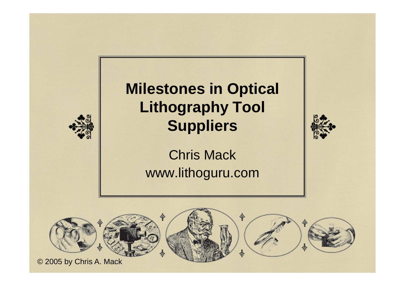#### **Milestones in Optical Lithography Tool Suppliers**



Chris Mackwww.lithoguru.com

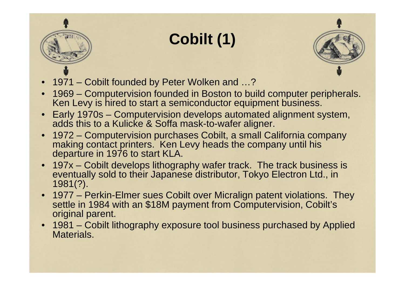

- 1971 Cobilt founded by Peter Wolken and …?
- 1969 Computervision founded in Boston to build computer peripherals. Ken Levy is hired to start a semiconductor equipment business.

**Cobilt (1)**

- Early 1970s Computervision develops automated alignment system, adds this to a Kulicke & Soffa mask-to-wafer aligner.
- 1972 Computervision purchases Cobilt, a small California company making contact printers. Ken Levy heads the company until his departure in 1976 to start KLA.
- 197x Cobilt develops lithography wafer track. The track business is eventually sold to their Japanese distributor, Tokyo Electron Ltd., in 1981(?).
- 1977 Perkin-Elmer sues Cobilt over Micralign patent violations. They<br>settle in 1984 with an \$18M payment from Computervision, Cobilt's original parent.
- 1981 Cobilt lithography exposure tool business purchased by Applied Materials.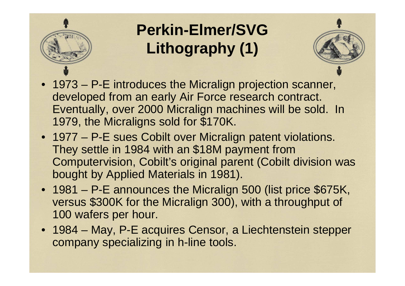

# **Perkin-Elmer/SVG Lithography (1)**



- 1973 P-E introduces the Micralign projection scanner, developed from an early Air Force research contract. Eventually, over 2000 Micralign machines will be sold. In1979, the Micraligns sold for \$170K.
- 1977 P-E sues Cobilt over Micralign patent violations. They settle in 1984 with an \$18M payment from Computervision, Cobilt's original parent (Cobilt division was bought by Applied Materials in 1981).
- 1981 P-E announces the Micralign 500 (list price \$675K, versus \$300K for the Micralign 300), with a throughput of 100 wafers per hour.
- 1984 May, P-E acquires Censor, a Liechtenstein stepper company specializing in h-line tools.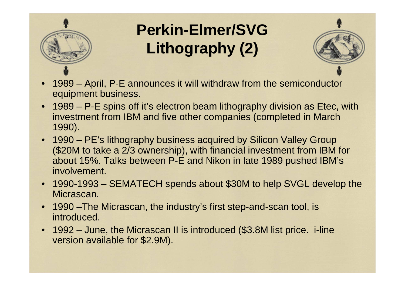

# **Perkin-Elmer/SVG Lithography (2)**



- • 1989 – April, P-E announces it will withdraw from the semiconductor equipment business.
- 1989 P-E spins off it's electron beam lithography division as Etec, with investment from IBM and five other companies (completed in March 1990).
- 1990 PE's lithography business acquired by Silicon Valley Group (\$20M to take a 2/3 ownership), with financial investment from IBM for about 15%. Talks between P-E and Nikon in late 1989 pushed IBM's involvement.
- 1990-1993 SEMATECH spends about \$30M to help SVGL develop the Micrascan.
- 1990 –The Micrascan, the industry's first step-and-scan tool, is introduced.
- • 1992 – June, the Micrascan II is introduced (\$3.8M list price. i-line version available for \$2.9M).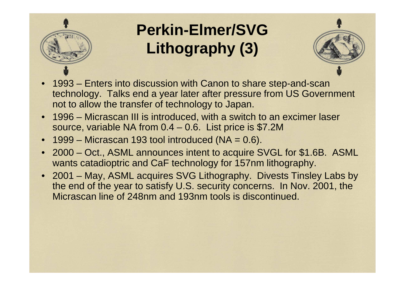

# **Perkin-Elmer/SVG Lithography (3)**



- • 1993 – Enters into discussion with Canon to share step-and-scan technology. Talks end a year later after pressure from US Government not to allow the transfer of technology to Japan.
- 1996 Micrascan III is introduced, with a switch to an excimer laser source, variable NA from 0.4 – 0.6. List price is \$7.2M
- $\bullet$   $\,$  1999 Micrascan 193 tool introduced (NA = 0.6).
- 2000 Oct., ASML announces intent to acquire SVGL for \$1.6B. ASML wants catadioptric and CaF technology for 157nm lithography.
- 2001 May, ASML acquires SVG Lithography. Divests Tinsley Labs by the end of the year to satisfy U.S. security concerns. In Nov. 2001, the Micrascan line of 248nm and 193nm tools is discontinued.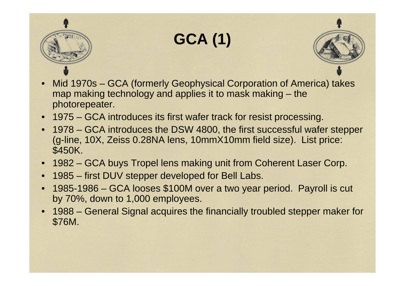

## **GCA (1)**



- • Mid 1970s – GCA (formerly Geophysical Corporation of America) takes map making technology and applies it to mask making – the photorepeater.
- 1975 GCA introduces its first wafer track for resist processing.
- 1978 GCA introduces the DSW 4800, the first successful wafer stepper (g-line, 10X, Zeiss 0.28NA lens, 10mmX10mm field size). List price: \$450K.
- •1982 – GCA buys Tropel lens making unit from Coherent Laser Corp.
- •1985 – first DUV stepper developed for Bell Labs.
- • 1985-1986 – GCA looses \$100M over a two year period. Payroll is cut by 70%, down to 1,000 employees.
- • 1988 – General Signal acquires the financially troubled stepper maker for \$76M.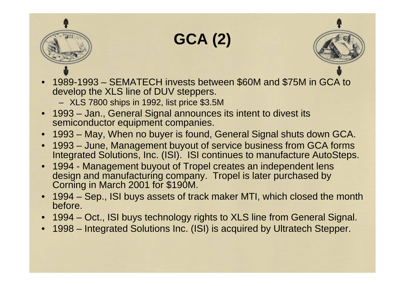



• 1989-1993 – SEMATECH invests between \$60M and \$75M in GCA to develop the XLS line of DUV steppers.

**GCA (2)**

- XLS 7800 ships in 1992, list price \$3.5M
- 1993 Jan., General Signal announces its intent to divest its semiconductor equipment companies.
- •1993 – May, When no buyer is found, General Signal shuts down GCA.
- 1993 June, Management buyout of service business from GCA forms Integrated Solutions, Inc. (ISI). ISI continues to manufacture AutoSteps.
- 1994 Management buyout of Tropel creates an independent lens design and manufacturing company. Tropel is later purchased by Corning in March 2001 for \$190M.
- 1994 Sep., ISI buys assets of track maker MTI, which closed the month before.
- 1994 Oct., ISI buys technology rights to XLS line from General Signal.
- •1998 – Integrated Solutions Inc. (ISI) is acquired by Ultratech Stepper.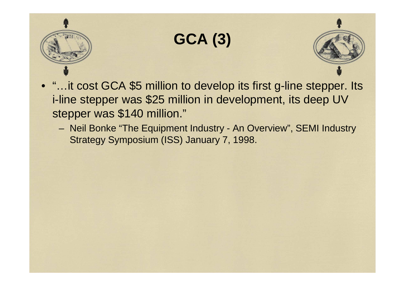

### **GCA (3)**



- "…it cost GCA \$5 million to develop its first g-line stepper. Its i-line stepper was \$25 million in development, its deep UV stepper was \$140 million."
	- Neil Bonke "The Equipment Industry An Overview", SEMI Industry Strategy Symposium (ISS) January 7, 1998.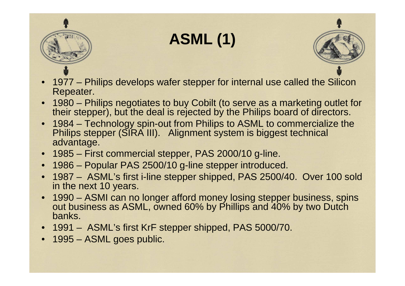

**ASML (1)**



- • 1977 – Philips develops wafer stepper for internal use called the Silicon Repeater.
- 1980 Philips negotiates to buy Cobilt (to serve as a marketing outlet for their stepper), but the deal is rejected by the Philips board of directors.
- 1984 Technology spin-out from Philips to ASML to commercialize the •Philips stepper (SIRA III). Alignment system is biggest technical advantage.
- •1985 – First commercial stepper, PAS 2000/10 g-line.
- •1986 – Popular PAS 2500/10 g-line stepper introduced.
- • 1987 – ASML's first i-line stepper shipped, PAS 2500/40. Over 100 sold in the next 10 years.
- 1990 ASMI can no longer afford money losing stepper business, spins out business as ASML, owned 60% by Phillips and 40% by two Dutch banks.
- 1991 ASML's first KrF stepper shipped, PAS 5000/70.
- 1995 ASML goes public.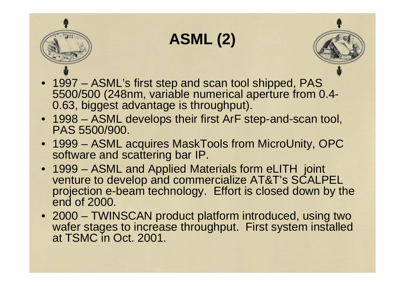

## **ASML (2)**



- 1997 ASML's first step and scan tool shipped, PAS 5500/500 (248nm, variable numerical aperture from 0.4-0.63, biggest advantage is throughput).
- 1998 ASML develops their first ArF step-and-scan tool, PAS 5500/900.
- 1999 ASML acquires MaskTools from MicroUnity, OPC software and scattering bar IP.
- 1999 ASML and Applied Materials form eLITH joint venture to develop and commercialize AT&T's SCALPEL projection e-beam technology. Effort is closed down by the end of 2000.
- 2000 TWINSCAN product platform introduced, using two wafer stages to increase throughput. First system installedat TSMC in Oct. 2001.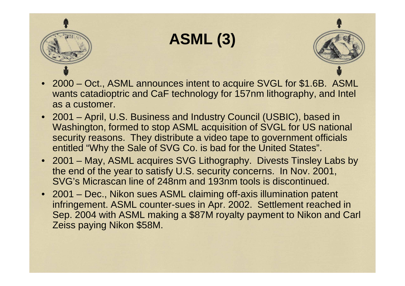

## **ASML (3)**



- 2000 Oct., ASML announces intent to acquire SVGL for \$1.6B. ASML wants catadioptric and CaF technology for 157nm lithography, and Intel as a customer.
- 2001 April, U.S. Business and Industry Council (USBIC), based in Washington, formed to stop ASML acquisition of SVGL for US national security reasons. They distribute a video tape to government officials entitled "Why the Sale of SVG Co. is bad for the United States".
- 2001 May, ASML acquires SVG Lithography. Divests Tinsley Labs by the end of the year to satisfy U.S. security concerns. In Nov. 2001, SVG's Micrascan line of 248nm and 193nm tools is discontinued.
- 2001 Dec., Nikon sues ASML claiming off-axis illumination patent infringement. ASML counter-sues in Apr. 2002. Settlement reached in Sep. 2004 with ASML making a \$87M royalty payment to Nikon and Carl Zeiss paying Nikon \$58M.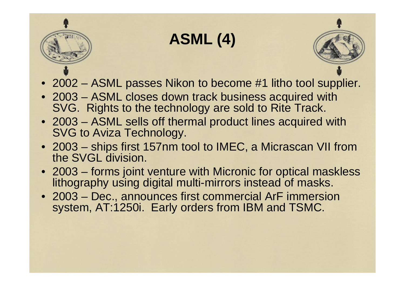## **ASML (4)**



- 2002 ASML passes Nikon to become #1 litho tool supplier.
- 2003 ASML closes down track business acquired with SVG. Rights to the technology are sold to Rite Track.
- 2003 ASML sells off thermal product lines acquired with SVG to Aviza Technology.
- 2003 ships first 157nm tool to IMEC, a Micrascan VII from the SVGL division.
- 2003 forms joint venture with Micronic for optical maskless lithography using digital multi-mirrors instead of masks.
- 2003 Dec., announces first commercial ArF immersion system, AT:1250i. Early orders from IBM and TSMC.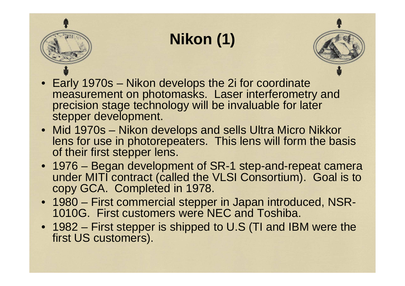# **Nikon (1)**



- Early 1970s Nikon develops the 2i for coordinate measurement on photomasks. Laser interferometry and precision stage technology will be invaluable for later stepper development.
- Mid 1970s Nikon develops and sells Ultra Micro Nikkor lens for use in photorepeaters. This lens will form the basis of their first stepper lens.
- 1976 Began development of SR-1 step-and-repeat camera under MITI contract (called the VLSI Consortium). Goal is to copy GCA. Completed in 1978.
- 1980 First commercial stepper in Japan introduced, NSR-1010G. First customers were NEC and Toshiba.
- 1982 First stepper is shipped to U.S (TI and IBM were the first US customers).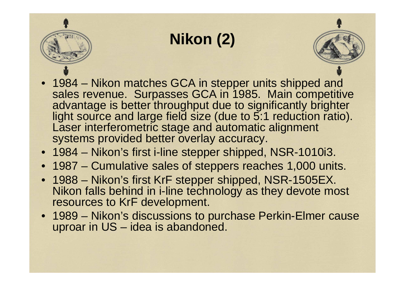## **Nikon (2)**

- 
- 1984 Nikon matches GCA in stepper units shipped and sales revenue. Surpasses GCA in 1985. Main competitive advantage is better throughput due to significantly brighter light source and large field size (due to 5:1 reduction ratio). Laser interferometric stage and automatic alignment systems provided better overlay accuracy.
- 1984 Nikon's first i-line stepper shipped, NSR-1010i3.
- 1987 Cumulative sales of steppers reaches 1,000 units.
- 1988 Nikon's first KrF stepper shipped, NSR-1505EX. Nikon falls behind in i-line technology as they devote mostresources to KrF development.
- 1989 Nikon's discussions to purchase Perkin-Elmer cause uproar in US – idea is abandoned.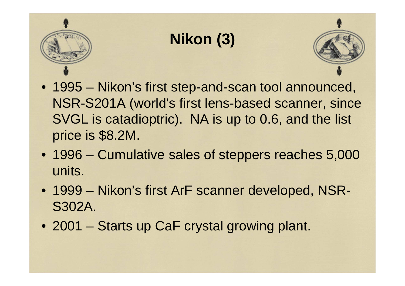# **Nikon (3)**

- 
- 1995 Nikon's first step-and-scan tool announced, NSR-S201A (world's first lens-based scanner, since SVGL is catadioptric). NA is up to 0.6, and the list price is \$8.2M.
- 1996 Cumulative sales of steppers reaches 5,000 units.
- 1999 Nikon's first ArF scanner developed, NSR-S302A.
- 2001 Starts up CaF crystal growing plant.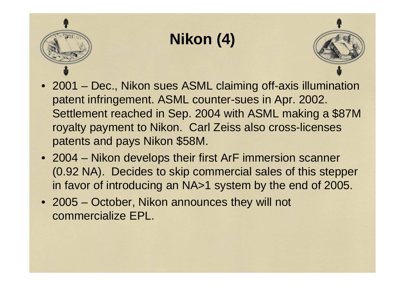# **Nikon (4)**

- 
- 2001 Dec., Nikon sues ASML claiming off-axis illumination patent infringement. ASML counter-sues in Apr. 2002. Settlement reached in Sep. 2004 with ASML making a \$87M royalty payment to Nikon. Carl Zeiss also cross-licenses patents and pays Nikon \$58M.
- 2004 Nikon develops their first ArF immersion scanner (0.92 NA). Decides to skip commercial sales of this stepper in favor of introducing an NA>1 system by the end of 2005.
- 2005 October, Nikon announces they will not commercialize EPL.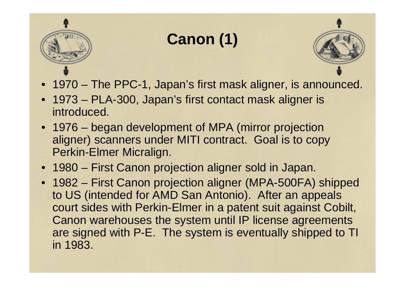

# **Canon (1)**

- 
- 1970 The PPC-1, Japan's first mask aligner, is announced.
- 1973 PLA-300, Japan's first contact mask aligner is introduced.
- 1976 began development of MPA (mirror projection aligner) scanners under MITI contract. Goal is to copy Perkin-Elmer Micralign.
- 1980 First Canon projection aligner sold in Japan.
- 1982 First Canon projection aligner (MPA-500FA) shipped to US (intended for AMD San Antonio). After an appeals court sides with Perkin-Elmer in a patent suit against Cobilt, Canon warehouses the system until IP license agreements are signed with P-E. The system is eventually shipped to TI in 1983.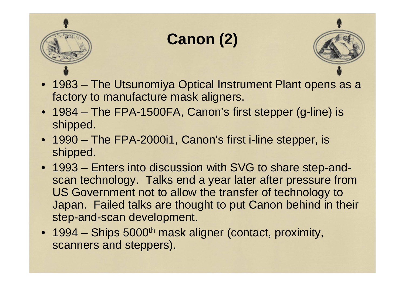

## **Canon (2)**



- 1983 The Utsunomiya Optical Instrument Plant opens as afactory to manufacture mask aligners.
- 1984 The FPA-1500FA, Canon's first stepper (g-line) is shipped.
- 1990 The FPA-2000i1, Canon's first i-line stepper, is shipped.
- 1993 Enters into discussion with SVG to share step-andscan technology. Talks end a year later after pressure fromUS Government not to allow the transfer of technology to Japan. Failed talks are thought to put Canon behind in their step-and-scan development.
- 1994 Ships 5000<sup>th</sup> mask aligner (contact, proximity, scanners and steppers).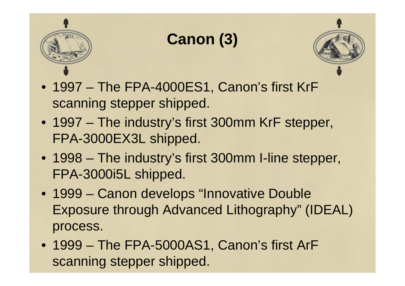

## **Canon (3)**



- 1997 The FPA-4000ES1, Canon's first KrF scanning stepper shipped.
- 1997 The industry's first 300mm KrF stepper, FPA-3000EX3L shipped.
- 1998 The industry's first 300mm I-line stepper, FPA-3000i5L shipped.
- 1999 Canon develops "Innovative Double Exposure through Advanced Lithography" (IDEAL) process.
- 1999 The FPA-5000AS1, Canon's first ArF scanning stepper shipped.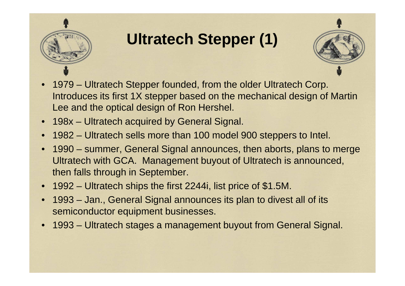

# **Ultratech Stepper (1)**



- • 1979 – Ultratech Stepper founded, from the older Ultratech Corp. Introduces its first 1X stepper based on the mechanical design of Martin Lee and the optical design of Ron Hershel.
- •198x – Ultratech acquired by General Signal.
- •1982 – Ultratech sells more than 100 model 900 steppers to Intel.
- • 1990 – summer, General Signal announces, then aborts, plans to merge Ultratech with GCA. Management buyout of Ultratech is announced, then falls through in September.
- •1992 – Ultratech ships the first 2244i, list price of \$1.5M.
- • 1993 – Jan., General Signal announces its plan to divest all of its semiconductor equipment businesses.
- •1993 – Ultratech stages a management buyout from General Signal.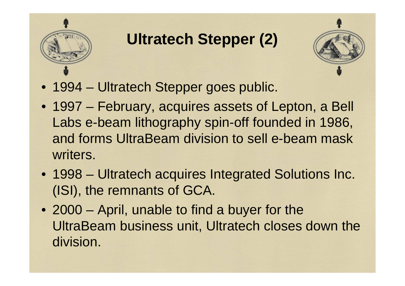

# **Ultratech Stepper (2)**



- 1994 Ultratech Stepper goes public.
- 1997 February, acquires assets of Lepton, a Bell Labs e-beam lithography spin-off founded in 1986, and forms UltraBeam division to sell e-beam mask writers.
- 1998 Ultratech acquires Integrated Solutions Inc. (ISI), the remnants of GCA.
- 2000 April, unable to find a buyer for the UltraBeam business unit, Ultratech closes down the division.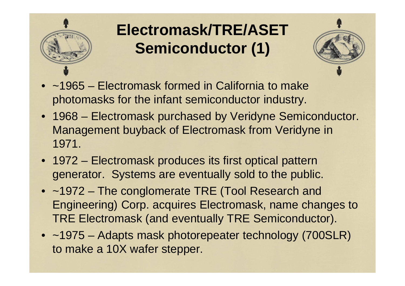

## **Electromask/TRE/ASET Semiconductor (1)**



- ~1965 Electromask formed in California to make photomasks for the infant semiconductor industry.
- 1968 Electromask purchased by Veridyne Semiconductor. Management buyback of Electromask from Veridyne in 1971.
- 1972 Electromask produces its first optical pattern generator. Systems are eventually sold to the public.
- ~1972 The conglomerate TRE (Tool Research and Engineering) Corp. acquires Electromask, name changes to TRE Electromask (and eventually TRE Semiconductor).
- ~1975 Adapts mask photorepeater technology (700SLR) to make a 10X wafer stepper.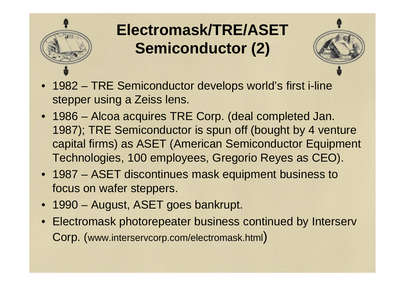

## **Electromask/TRE/ASET Semiconductor (2)**

- 1982 TRE Semiconductor develops world's first i-line stepper using a Zeiss lens.
- 1986 Alcoa acquires TRE Corp. (deal completed Jan. 1987); TRE Semiconductor is spun off (bought by 4 venture capital firms) as ASET (American Semiconductor Equipment Technologies, 100 employees, Gregorio Reyes as CEO).
- 1987 ASET discontinues mask equipment business to focus on wafer steppers.
- 1990 August, ASET goes bankrupt.
- Electromask photorepeater business continued by Interserv Corp. (www.interservcorp.com/electromask.html)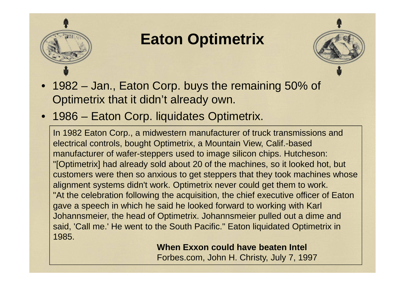

#### **Eaton Optimetrix**

- 
- 1982 Jan., Eaton Corp. buys the remaining 50% of Optimetrix that it didn't already own.
- 1986 Eaton Corp. liquidates Optimetrix.

In 1982 Eaton Corp., a midwestern manufacturer of truck transmissions and electrical controls, bought Optimetrix, a Mountain View, Calif.-based manufacturer of wafer-steppers used to image silicon chips. Hutcheson: "[Optimetrix] had already sold about 20 of the machines, so it looked hot, but customers were then so anxious to get steppers that they took machines whose alignment systems didn't work. Optimetrix never could get them to work. "At the celebration following the acquisition, the chief executive officer of Eaton gave a speech in which he said he looked forward to working with Karl Johannsmeier, the head of Optimetrix. Johannsmeier pulled out a dime and said, 'Call me.' He went to the South Pacific." Eaton liquidated Optimetrix in 1985.

> **When Exxon could have beaten Intel** Forbes.com, John H. Christy, July 7, 1997